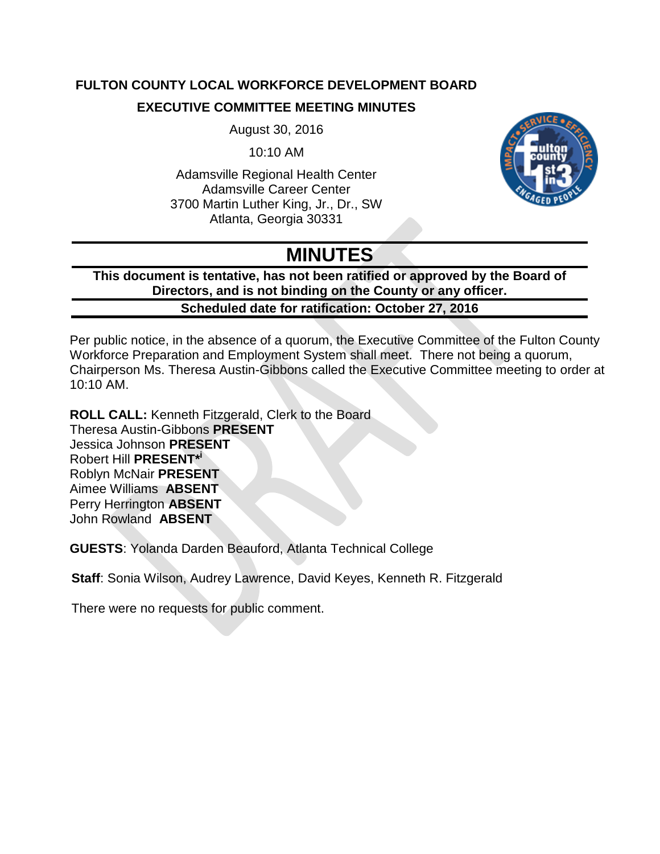# **FULTON COUNTY LOCAL WORKFORCE DEVELOPMENT BOARD EXECUTIVE COMMITTEE MEETING MINUTES**

August 30, 2016

10:10 AM

Adamsville Regional Health Center Adamsville Career Center 3700 Martin Luther King, Jr., Dr., SW Atlanta, Georgia 30331



# **MINUTES**

**This document is tentative, has not been ratified or approved by the Board of Directors, and is not binding on the County or any officer. Scheduled date for ratification: October 27, 2016**

Per public notice, in the absence of a quorum, the Executive Committee of the Fulton County Workforce Preparation and Employment System shall meet. There not being a quorum, Chairperson Ms. Theresa Austin-Gibbons called the Executive Committee meeting to order at 10:10 AM.

**ROLL CALL:** Kenneth Fitzgerald, Clerk to the Board Theresa Austin-Gibbons **PRESENT** Jessica Johnson **PRESENT** Robert Hill **PRESENT\* i** Roblyn McNair **PRESENT** Aimee Williams **ABSENT** Perry Herrington **ABSENT** John Rowland **ABSENT**

**GUESTS**: Yolanda Darden Beauford, Atlanta Technical College

**Staff**: Sonia Wilson, Audrey Lawrence, David Keyes, Kenneth R. Fitzgerald

There were no requests for public comment.